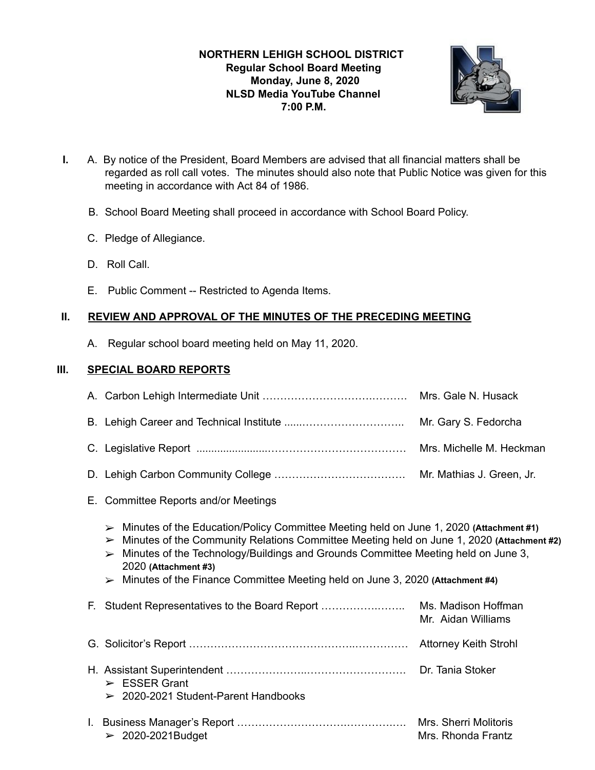# **NORTHERN LEHIGH SCHOOL DISTRICT Regular School Board Meeting Monday, June 8, 2020 NLSD Media YouTube Channel 7:00 P.M.**



- **I.** A. By notice of the President, Board Members are advised that all financial matters shall be regarded as roll call votes. The minutes should also note that Public Notice was given for this meeting in accordance with Act 84 of 1986.
	- B. School Board Meeting shall proceed in accordance with School Board Policy.
	- C. Pledge of Allegiance.
	- D. Roll Call.
	- E. Public Comment -- Restricted to Agenda Items.

## **II. REVIEW AND APPROVAL OF THE MINUTES OF THE PRECEDING MEETING**

A. Regular school board meeting held on May 11, 2020.

## **III. SPECIAL BOARD REPORTS**

- E. Committee Reports and/or Meetings
	- ➢ Minutes of the Education/Policy Committee Meeting held on June 1, 2020 **(Attachment #1)**
	- ➢ Minutes of the Community Relations Committee Meeting held on June 1, 2020 **(Attachment #2)**
	- ➢ Minutes of the Technology/Buildings and Grounds Committee Meeting held on June 3, 2020 **(Attachment #3)**
	- ➢ Minutes of the Finance Committee Meeting held on June 3, 2020 **(Attachment #4)**

| F. Student Representatives to the Board Report                            | Ms. Madison Hoffman<br>Mr. Aidan Williams   |
|---------------------------------------------------------------------------|---------------------------------------------|
|                                                                           | <b>Attorney Keith Strohl</b>                |
| $\triangleright$ ESSER Grant<br>$\geq$ 2020-2021 Student-Parent Handbooks | Dr. Tania Stoker                            |
| $\geq 2020-2021$ Budget                                                   | Mrs. Sherri Molitoris<br>Mrs. Rhonda Frantz |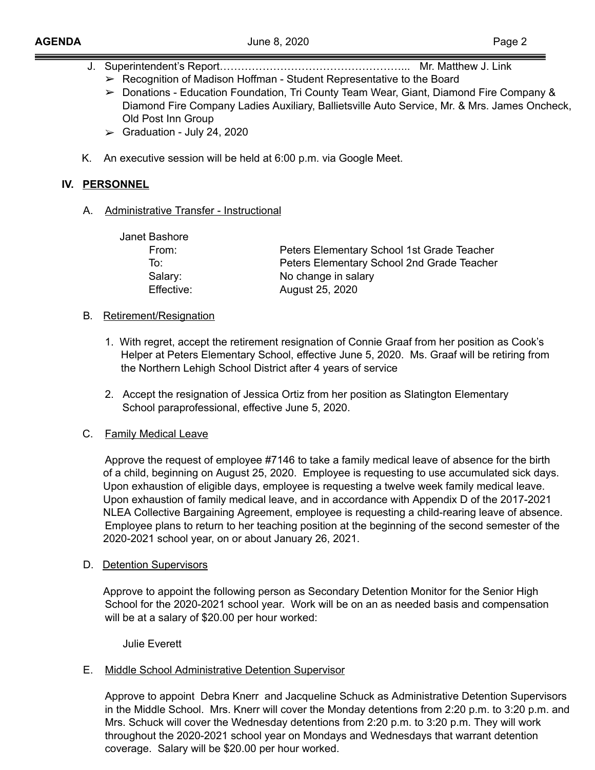- J. Superintendent's Report……………………………………………... Mr. Matthew J. Link
	- ➢ Recognition of Madison Hoffman Student Representative to the Board
	- ➢ Donations Education Foundation, Tri County Team Wear, Giant, Diamond Fire Company & Diamond Fire Company Ladies Auxiliary, Ballietsville Auto Service, Mr. & Mrs. James Oncheck, Old Post Inn Group
	- $\blacktriangleright$  Graduation July 24, 2020
- K. An executive session will be held at 6:00 p.m. via Google Meet.

## **IV. PERSONNEL**

A. Administrative Transfer - Instructional

| Janet Bashore |                                            |
|---------------|--------------------------------------------|
| From:         | Peters Elementary School 1st Grade Teacher |
| To∶           | Peters Elementary School 2nd Grade Teacher |
| Salary:       | No change in salary                        |
| Effective:    | August 25, 2020                            |
|               |                                            |

- B**.** Retirement/Resignation
	- 1. With regret, accept the retirement resignation of Connie Graaf from her position as Cook's Helper at Peters Elementary School, effective June 5, 2020. Ms. Graaf will be retiring from the Northern Lehigh School District after 4 years of service
	- 2. Accept the resignation of Jessica Ortiz from her position as Slatington Elementary School paraprofessional, effective June 5, 2020.

## C. Family Medical Leave

Approve the request of employee #7146 to take a family medical leave of absence for the birth of a child, beginning on August 25, 2020. Employee is requesting to use accumulated sick days. Upon exhaustion of eligible days, employee is requesting a twelve week family medical leave. Upon exhaustion of family medical leave, and in accordance with Appendix D of the 2017-2021 NLEA Collective Bargaining Agreement, employee is requesting a child-rearing leave of absence. Employee plans to return to her teaching position at the beginning of the second semester of the 2020-2021 school year, on or about January 26, 2021.

D. Detention Supervisors

Approve to appoint the following person as Secondary Detention Monitor for the Senior High School for the 2020-2021 school year. Work will be on an as needed basis and compensation will be at a salary of \$20.00 per hour worked:

Julie Everett

## E. Middle School Administrative Detention Supervisor

Approve to appoint Debra Knerr and Jacqueline Schuck as Administrative Detention Supervisors in the Middle School. Mrs. Knerr will cover the Monday detentions from 2:20 p.m. to 3:20 p.m. and Mrs. Schuck will cover the Wednesday detentions from 2:20 p.m. to 3:20 p.m. They will work throughout the 2020-2021 school year on Mondays and Wednesdays that warrant detention coverage. Salary will be \$20.00 per hour worked.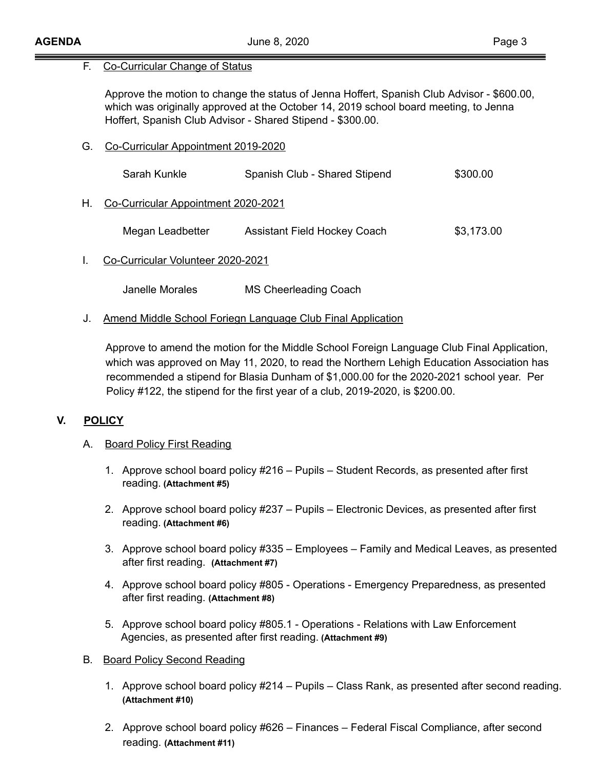#### F. Co-Curricular Change of Status

Approve the motion to change the status of Jenna Hoffert, Spanish Club Advisor - \$600.00, which was originally approved at the October 14, 2019 school board meeting, to Jenna Hoffert, Spanish Club Advisor - Shared Stipend - \$300.00.

G. Co-Curricular Appointment 2019-2020

|    | Sarah Kunkle                        | Spanish Club - Shared Stipend       | \$300.00   |
|----|-------------------------------------|-------------------------------------|------------|
| Н. | Co-Curricular Appointment 2020-2021 |                                     |            |
|    | Megan Leadbetter                    | <b>Assistant Field Hockey Coach</b> | \$3,173.00 |
|    | Co-Curricular Volunteer 2020-2021   |                                     |            |

Janelle Morales MS Cheerleading Coach

J. Amend Middle School Foriegn Language Club Final Application

Approve to amend the motion for the Middle School Foreign Language Club Final Application, which was approved on May 11, 2020, to read the Northern Lehigh Education Association has recommended a stipend for Blasia Dunham of \$1,000.00 for the 2020-2021 school year. Per Policy #122, the stipend for the first year of a club, 2019-2020, is \$200.00.

## **V. POLICY**

## A. Board Policy First Reading

- 1. Approve school board policy #216 Pupils Student Records, as presented after first reading. **(Attachment #5)**
- 2. Approve school board policy #237 Pupils Electronic Devices, as presented after first reading. **(Attachment #6)**
- 3. Approve school board policy #335 Employees Family and Medical Leaves, as presented after first reading. **(Attachment #7)**
- 4. Approve school board policy #805 Operations Emergency Preparedness, as presented after first reading. **(Attachment #8)**
- 5. Approve school board policy #805.1 Operations Relations with Law Enforcement Agencies, as presented after first reading. **(Attachment #9)**
- B**.** Board Policy Second Reading
	- 1. Approve school board policy #214 Pupils Class Rank, as presented after second reading. **(Attachment #10)**
	- 2. Approve school board policy #626 Finances Federal Fiscal Compliance, after second reading. **(Attachment #11)**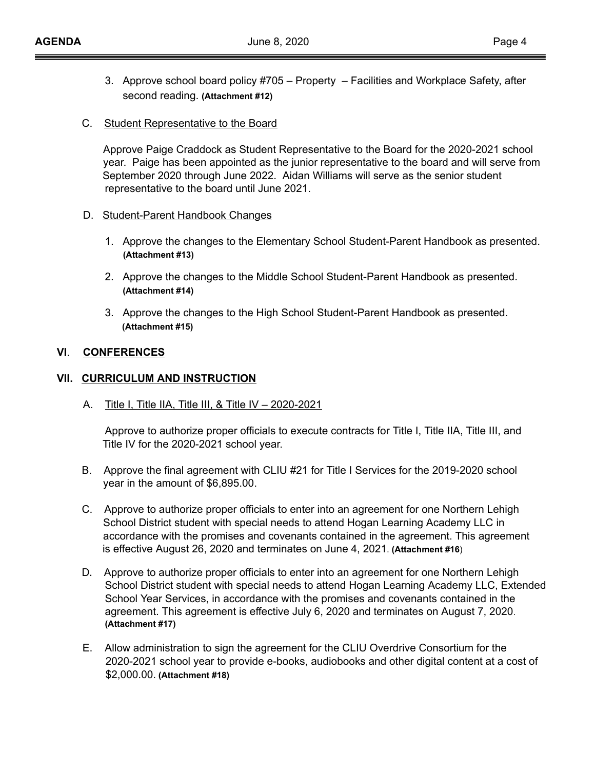- 3. Approve school board policy #705 Property Facilities and Workplace Safety, after second reading. **(Attachment #12)**
- C. Student Representative to the Board

Approve Paige Craddock as Student Representative to the Board for the 2020-2021 school year. Paige has been appointed as the junior representative to the board and will serve from September 2020 through June 2022. Aidan Williams will serve as the senior student representative to the board until June 2021.

- D. Student-Parent Handbook Changes
	- 1. Approve the changes to the Elementary School Student-Parent Handbook as presented.  **(Attachment #13)**
	- 2. Approve the changes to the Middle School Student-Parent Handbook as presented. **(Attachment #14)**
	- 3. Approve the changes to the High School Student-Parent Handbook as presented.  **(Attachment #15)**

#### **VI**. **CONFERENCES**

#### **VII. CURRICULUM AND INSTRUCTION**

A. Title I, Title IIA, Title III, & Title IV – 2020-2021

Approve to authorize proper officials to execute contracts for Title I, Title IIA, Title III, and Title IV for the 2020-2021 school year.

- B. Approve the final agreement with CLIU #21 for Title I Services for the 2019-2020 school year in the amount of \$6,895.00.
- C. Approve to authorize proper officials to enter into an agreement for one Northern Lehigh School District student with special needs to attend Hogan Learning Academy LLC in accordance with the promises and covenants contained in the agreement. This agreement is effective August 26, 2020 and terminates on June 4, 2021. **(Attachment #16** )
- D**.** Approve to authorize proper officials to enter into an agreement for one Northern Lehigh School District student with special needs to attend Hogan Learning Academy LLC, Extended School Year Services, in accordance with the promises and covenants contained in the agreement. This agreement is effective July 6, 2020 and terminates on August 7, 2020. **(Attachment #17)**
- E. Allow administration to sign the agreement for the CLIU Overdrive Consortium for the 2020-2021 school year to provide e-books, audiobooks and other digital content at a cost of \$2,000.00. **(Attachment #18)**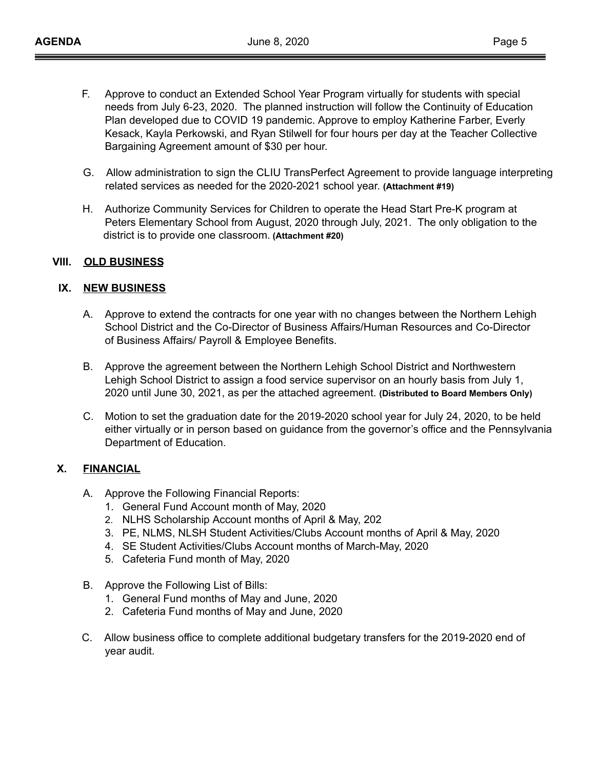- F. Approve to conduct an Extended School Year Program virtually for students with special needs from July 6-23, 2020. The planned instruction will follow the Continuity of Education Plan developed due to COVID 19 pandemic. Approve to employ Katherine Farber, Everly Kesack, Kayla Perkowski, and Ryan Stilwell for four hours per day at the Teacher Collective Bargaining Agreement amount of \$30 per hour.
- G. Allow administration to sign the CLIU TransPerfect Agreement to provide language interpreting related services as needed for the 2020-2021 school year. **(Attachment #19)**
- H. Authorize Community Services for Children to operate the Head Start Pre-K program at Peters Elementary School from August, 2020 through July, 2021. The only obligation to the district is to provide one classroom. **(Attachment #20)**

## **VIII. OLD BUSINESS**

## **IX. NEW BUSINESS**

- A. Approve to extend the contracts for one year with no changes between the Northern Lehigh School District and the Co-Director of Business Affairs/Human Resources and Co-Director of Business Affairs/ Payroll & Employee Benefits.
- B. Approve the agreement between the Northern Lehigh School District and Northwestern Lehigh School District to assign a food service supervisor on an hourly basis from July 1, 2020 until June 30, 2021, as per the attached agreement. **(Distributed to Board Members Only)**
- C. Motion to set the graduation date for the 2019-2020 school year for July 24, 2020, to be held either virtually or in person based on guidance from the governor's office and the Pennsylvania Department of Education.

## **X. FINANCIAL**

- A. Approve the Following Financial Reports:
	- 1. General Fund Account month of May, 2020
	- 2. NLHS Scholarship Account months of April & May, 202
	- 3. PE, NLMS, NLSH Student Activities/Clubs Account months of April & May, 2020
	- 4. SE Student Activities/Clubs Account months of March-May, 2020
	- 5. Cafeteria Fund month of May, 2020
- B. Approve the Following List of Bills:
	- 1. General Fund months of May and June, 2020
	- 2. Cafeteria Fund months of May and June, 2020
- C. Allow business office to complete additional budgetary transfers for the 2019-2020 end of year audit.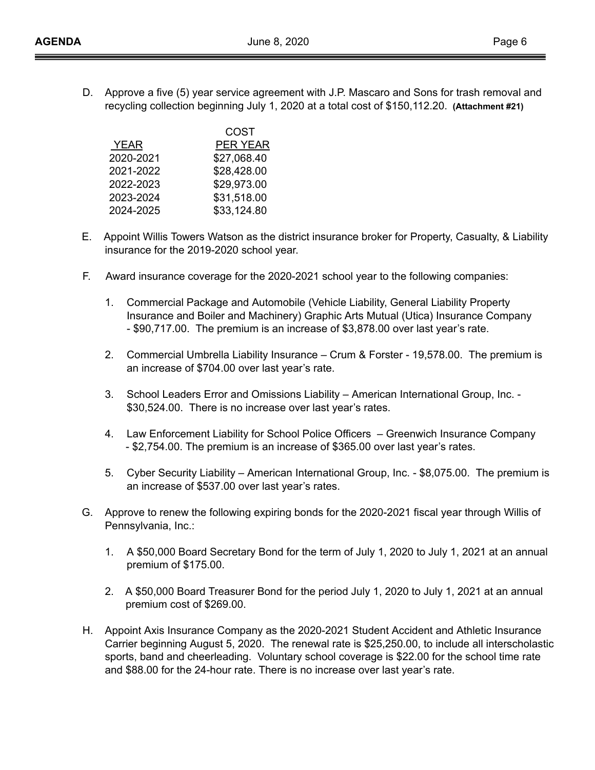D. Approve a five (5) year service agreement with J.P. Mascaro and Sons for trash removal and recycling collection beginning July 1, 2020 at a total cost of \$150,112.20. **(Attachment #21)** 

| COST        |
|-------------|
| PER YEAR    |
| \$27,068.40 |
| \$28,428.00 |
| \$29,973.00 |
| \$31,518.00 |
| \$33,124.80 |
|             |

- E. Appoint Willis Towers Watson as the district insurance broker for Property, Casualty, & Liability insurance for the 2019-2020 school year.
- F. Award insurance coverage for the 2020-2021 school year to the following companies:
	- 1. Commercial Package and Automobile (Vehicle Liability, General Liability Property Insurance and Boiler and Machinery) Graphic Arts Mutual (Utica) Insurance Company - \$90,717.00. The premium is an increase of \$3,878.00 over last year's rate.
	- 2. Commercial Umbrella Liability Insurance Crum & Forster 19,578.00. The premium is an increase of \$704.00 over last year's rate.
	- 3. School Leaders Error and Omissions Liability American International Group, Inc. \$30,524.00. There is no increase over last year's rates.
	- 4. Law Enforcement Liability for School Police Officers Greenwich Insurance Company - \$2,754.00. The premium is an increase of \$365.00 over last year's rates.
	- 5. Cyber Security Liability American International Group, Inc. \$8,075.00. The premium is an increase of \$537.00 over last year's rates.
- G. Approve to renew the following expiring bonds for the 2020-2021 fiscal year through Willis of Pennsylvania, Inc.:
	- 1. A \$50,000 Board Secretary Bond for the term of July 1, 2020 to July 1, 2021 at an annual premium of \$175.00.
	- 2. A \$50,000 Board Treasurer Bond for the period July 1, 2020 to July 1, 2021 at an annual premium cost of \$269.00.
- H. Appoint Axis Insurance Company as the 2020-2021 Student Accident and Athletic Insurance Carrier beginning August 5, 2020. The renewal rate is \$25,250.00, to include all interscholastic sports, band and cheerleading. Voluntary school coverage is \$22.00 for the school time rate and \$88.00 for the 24-hour rate. There is no increase over last year's rate.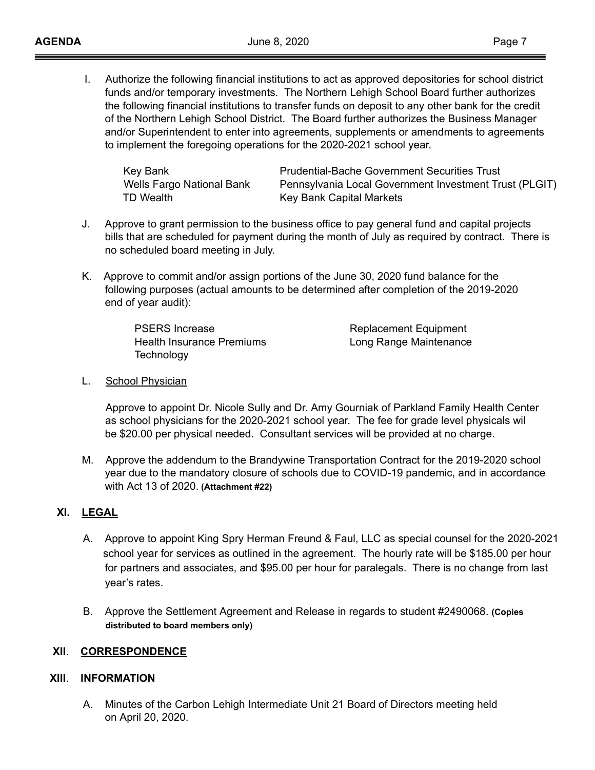I. Authorize the following financial institutions to act as approved depositories for school district funds and/or temporary investments. The Northern Lehigh School Board further authorizes the following financial institutions to transfer funds on deposit to any other bank for the credit of the Northern Lehigh School District. The Board further authorizes the Business Manager and/or Superintendent to enter into agreements, supplements or amendments to agreements to implement the foregoing operations for the 2020-2021 school year.

| Key Bank                  | <b>Prudential-Bache Government Securities Trust</b>    |
|---------------------------|--------------------------------------------------------|
| Wells Fargo National Bank | Pennsylvania Local Government Investment Trust (PLGIT) |
| TD Wealth                 | Key Bank Capital Markets                               |

- J. Approve to grant permission to the business office to pay general fund and capital projects bills that are scheduled for payment during the month of July as required by contract. There is no scheduled board meeting in July.
- K. Approve to commit and/or assign portions of the June 30, 2020 fund balance for the following purposes (actual amounts to be determined after completion of the 2019-2020 end of year audit):

| <b>PSERS Increase</b>     |  |
|---------------------------|--|
| Health Insurance Premiums |  |
| Technology                |  |

Replacement Equipment ong Range Maintenance

L. School Physician

Approve to appoint Dr. Nicole Sully and Dr. Amy Gourniak of Parkland Family Health Center as school physicians for the 2020-2021 school year. The fee for grade level physicals wil be \$20.00 per physical needed. Consultant services will be provided at no charge.

M. Approve the addendum to the Brandywine Transportation Contract for the 2019-2020 school year due to the mandatory closure of schools due to COVID-19 pandemic, and in accordance with Act 13 of 2020. **(Attachment #22)** 

## **XI. LEGAL**

- A. Approve to appoint King Spry Herman Freund & Faul, LLC as special counsel for the 2020-2021 school year for services as outlined in the agreement. The hourly rate will be \$185.00 per hour for partners and associates, and \$95.00 per hour for paralegals. There is no change from last year's rates.
- B. Approve the Settlement Agreement and Release in regards to student #2490068. **(Copies distributed to board members only)**

## **XII**. **CORRESPONDENCE**

## **XIII**. **INFORMATION**

A. Minutes of the Carbon Lehigh Intermediate Unit 21 Board of Directors meeting held on April 20, 2020.